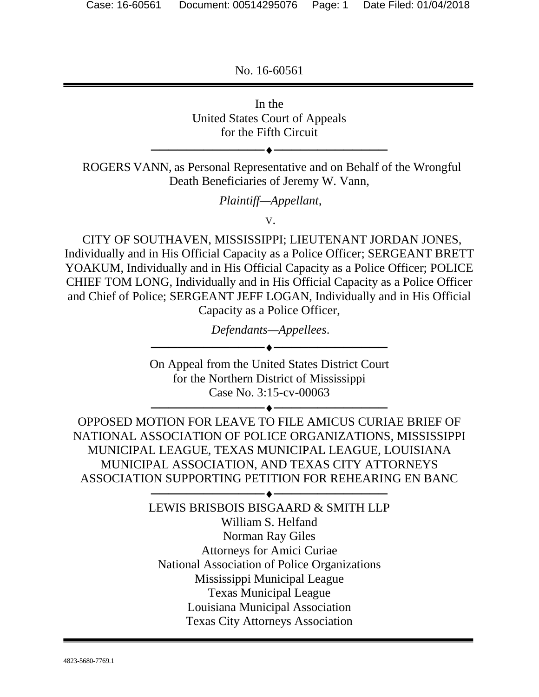No. 16-60561



Mississippi Municipal League

Texas Municipal League

Louisiana Municipal Association

Texas City Attorneys Association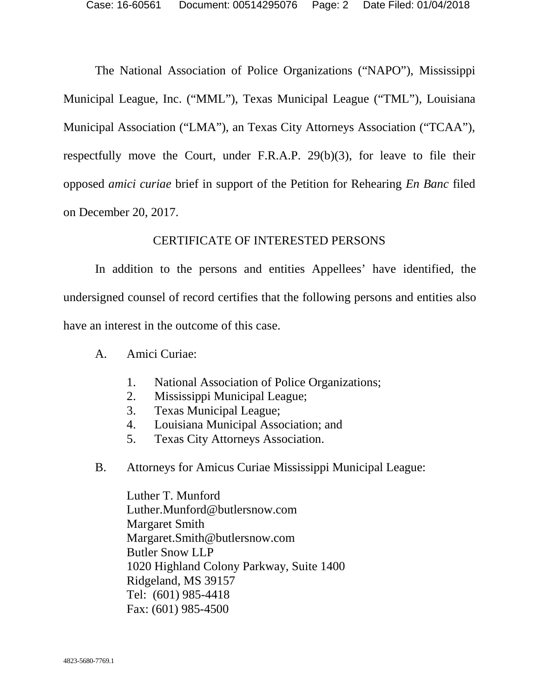The National Association of Police Organizations ("NAPO"), Mississippi Municipal League, Inc. ("MML"), Texas Municipal League ("TML"), Louisiana Municipal Association ("LMA"), an Texas City Attorneys Association ("TCAA"), respectfully move the Court, under F.R.A.P. 29(b)(3), for leave to file their opposed *amici curiae* brief in support of the Petition for Rehearing *En Banc* filed on December 20, 2017.

#### CERTIFICATE OF INTERESTED PERSONS

In addition to the persons and entities Appellees' have identified, the undersigned counsel of record certifies that the following persons and entities also have an interest in the outcome of this case.

- A. Amici Curiae:
	- 1. National Association of Police Organizations;
	- 2. Mississippi Municipal League;
	- 3. Texas Municipal League;
	- 4. Louisiana Municipal Association; and
	- 5. Texas City Attorneys Association.
- B. Attorneys for Amicus Curiae Mississippi Municipal League:

Luther T. Munford Luther.Munford@butlersnow.com Margaret Smith Margaret.Smith@butlersnow.com Butler Snow LLP 1020 Highland Colony Parkway, Suite 1400 Ridgeland, MS 39157 Tel: (601) 985-4418 Fax: (601) 985-4500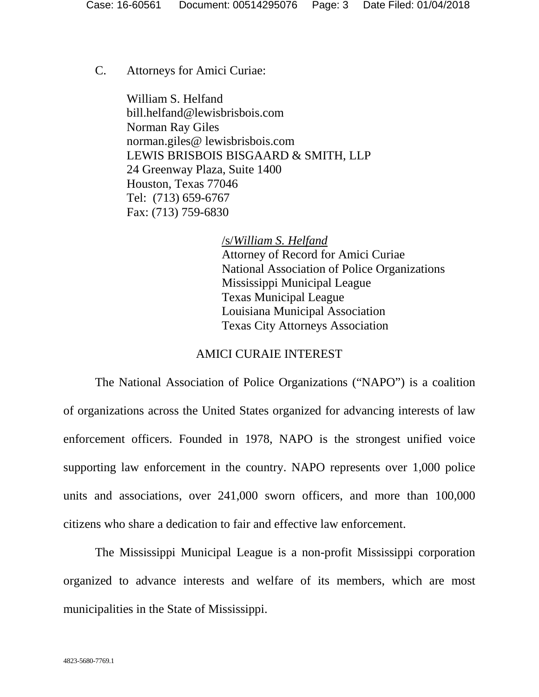C. Attorneys for Amici Curiae:

 William S. Helfand bill.helfand@lewisbrisbois.com Norman Ray Giles norman.giles@ lewisbrisbois.com LEWIS BRISBOIS BISGAARD & SMITH, LLP 24 Greenway Plaza, Suite 1400 Houston, Texas 77046 Tel: (713) 659-6767 Fax: (713) 759-6830

> /s/*William S. Helfand*  Attorney of Record for Amici Curiae National Association of Police Organizations Mississippi Municipal League Texas Municipal League Louisiana Municipal Association Texas City Attorneys Association

#### AMICI CURAIE INTEREST

The National Association of Police Organizations ("NAPO") is a coalition of organizations across the United States organized for advancing interests of law enforcement officers. Founded in 1978, NAPO is the strongest unified voice supporting law enforcement in the country. NAPO represents over 1,000 police units and associations, over 241,000 sworn officers, and more than 100,000 citizens who share a dedication to fair and effective law enforcement.

The Mississippi Municipal League is a non-profit Mississippi corporation organized to advance interests and welfare of its members, which are most municipalities in the State of Mississippi.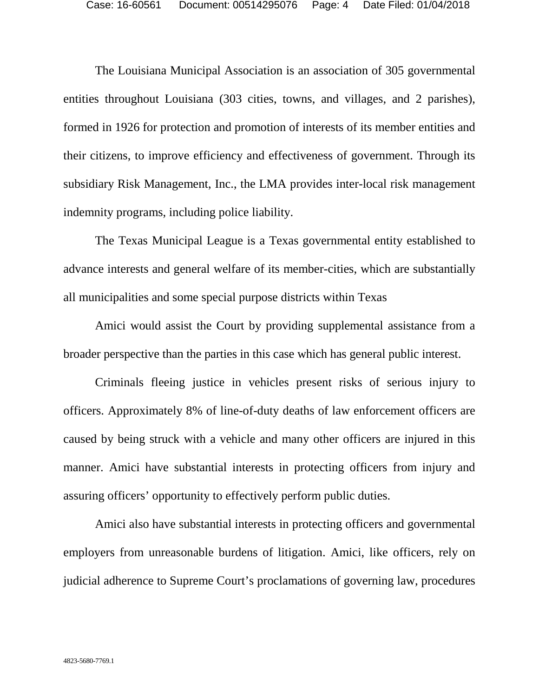The Louisiana Municipal Association is an association of 305 governmental entities throughout Louisiana (303 cities, towns, and villages, and 2 parishes), formed in 1926 for protection and promotion of interests of its member entities and their citizens, to improve efficiency and effectiveness of government. Through its subsidiary Risk Management, Inc., the LMA provides inter-local risk management indemnity programs, including police liability.

The Texas Municipal League is a Texas governmental entity established to advance interests and general welfare of its member-cities, which are substantially all municipalities and some special purpose districts within Texas

Amici would assist the Court by providing supplemental assistance from a broader perspective than the parties in this case which has general public interest.

Criminals fleeing justice in vehicles present risks of serious injury to officers. Approximately 8% of line-of-duty deaths of law enforcement officers are caused by being struck with a vehicle and many other officers are injured in this manner. Amici have substantial interests in protecting officers from injury and assuring officers' opportunity to effectively perform public duties.

Amici also have substantial interests in protecting officers and governmental employers from unreasonable burdens of litigation. Amici, like officers, rely on judicial adherence to Supreme Court's proclamations of governing law, procedures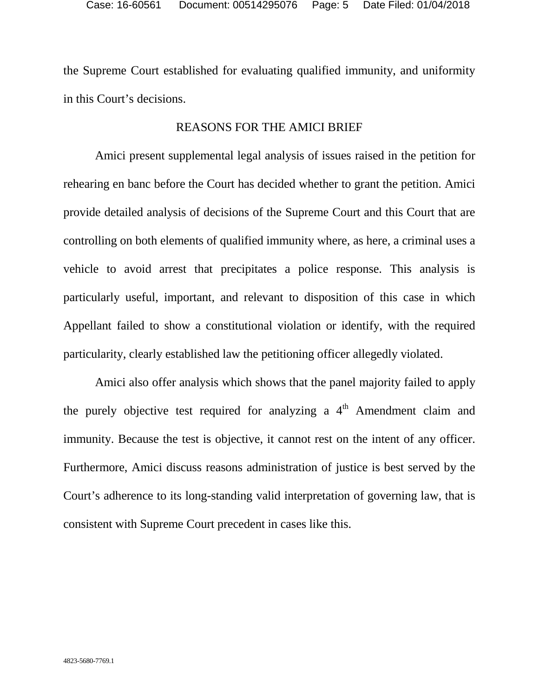the Supreme Court established for evaluating qualified immunity, and uniformity in this Court's decisions.

## REASONS FOR THE AMICI BRIEF

Amici present supplemental legal analysis of issues raised in the petition for rehearing en banc before the Court has decided whether to grant the petition. Amici provide detailed analysis of decisions of the Supreme Court and this Court that are controlling on both elements of qualified immunity where, as here, a criminal uses a vehicle to avoid arrest that precipitates a police response. This analysis is particularly useful, important, and relevant to disposition of this case in which Appellant failed to show a constitutional violation or identify, with the required particularity, clearly established law the petitioning officer allegedly violated.

Amici also offer analysis which shows that the panel majority failed to apply the purely objective test required for analyzing a  $4<sup>th</sup>$  Amendment claim and immunity. Because the test is objective, it cannot rest on the intent of any officer. Furthermore, Amici discuss reasons administration of justice is best served by the Court's adherence to its long-standing valid interpretation of governing law, that is consistent with Supreme Court precedent in cases like this.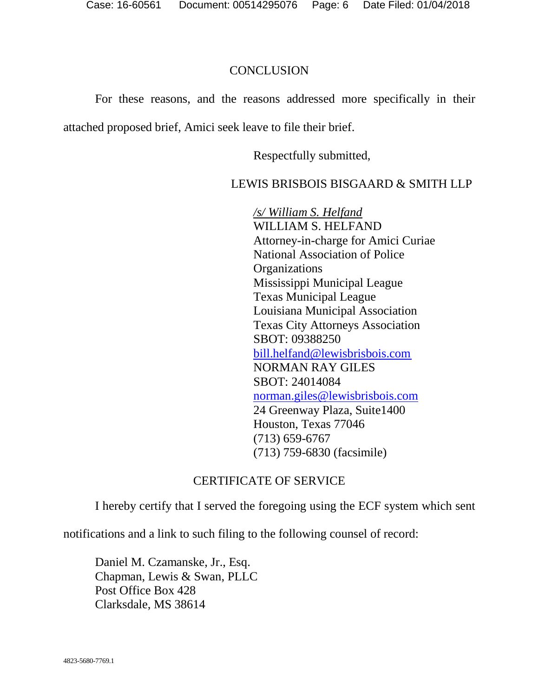### **CONCLUSION**

For these reasons, and the reasons addressed more specifically in their attached proposed brief, Amici seek leave to file their brief.

Respectfully submitted,

## LEWIS BRISBOIS BISGAARD & SMITH LLP

*/s/ William S. Helfand* WILLIAM S. HELFAND Attorney-in-charge for Amici Curiae National Association of Police **Organizations** Mississippi Municipal League Texas Municipal League Louisiana Municipal Association Texas City Attorneys Association SBOT: 09388250 bill.helfand@lewisbrisbois.com NORMAN RAY GILES SBOT: 24014084 norman.giles@lewisbrisbois.com 24 Greenway Plaza, Suite1400 Houston, Texas 77046 (713) 659-6767 (713) 759-6830 (facsimile)

## CERTIFICATE OF SERVICE

I hereby certify that I served the foregoing using the ECF system which sent

notifications and a link to such filing to the following counsel of record:

Daniel M. Czamanske, Jr., Esq. Chapman, Lewis & Swan, PLLC Post Office Box 428 Clarksdale, MS 38614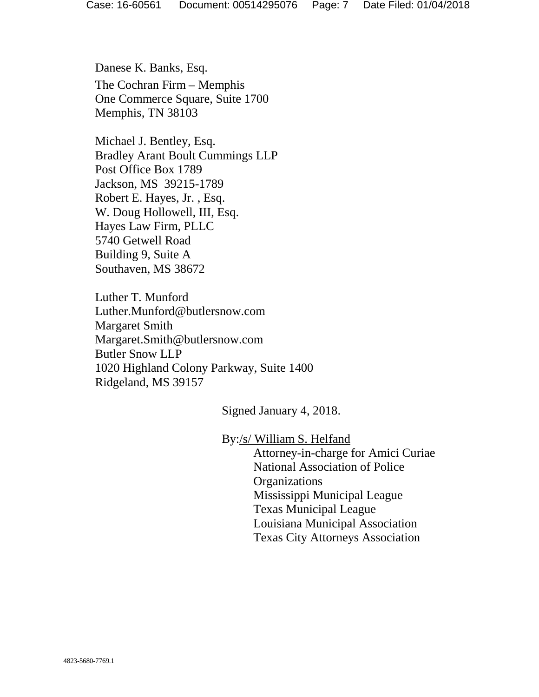Danese K. Banks, Esq. The Cochran Firm – Memphis One Commerce Square, Suite 1700 Memphis, TN 38103

Michael J. Bentley, Esq. Bradley Arant Boult Cummings LLP Post Office Box 1789 Jackson, MS 39215-1789 Robert E. Hayes, Jr. , Esq. W. Doug Hollowell, III, Esq. Hayes Law Firm, PLLC 5740 Getwell Road Building 9, Suite A Southaven, MS 38672

Luther T. Munford Luther.Munford@butlersnow.com Margaret Smith Margaret.Smith@butlersnow.com Butler Snow LLP 1020 Highland Colony Parkway, Suite 1400 Ridgeland, MS 39157

Signed January 4, 2018.

By:/s/ William S. Helfand

Attorney-in-charge for Amici Curiae National Association of Police **Organizations** Mississippi Municipal League Texas Municipal League Louisiana Municipal Association Texas City Attorneys Association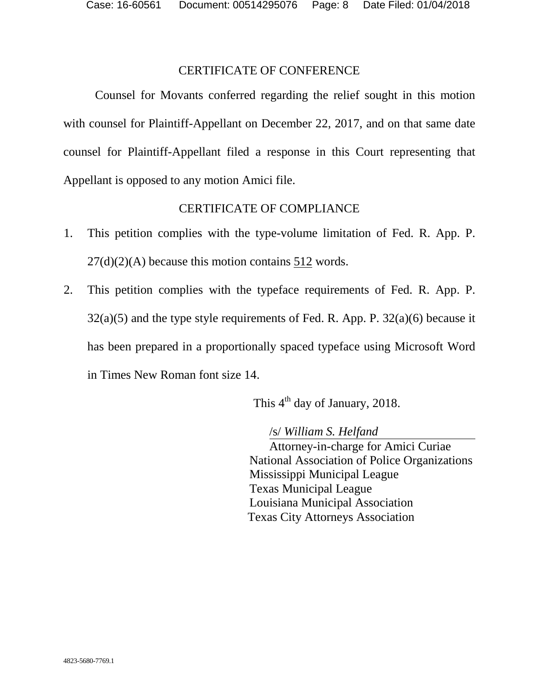#### CERTIFICATE OF CONFERENCE

Counsel for Movants conferred regarding the relief sought in this motion with counsel for Plaintiff-Appellant on December 22, 2017, and on that same date counsel for Plaintiff-Appellant filed a response in this Court representing that Appellant is opposed to any motion Amici file.

#### CERTIFICATE OF COMPLIANCE

- 1. This petition complies with the type-volume limitation of Fed. R. App. P.  $27(d)(2)(A)$  because this motion contains 512 words.
- 2. This petition complies with the typeface requirements of Fed. R. App. P.  $32(a)(5)$  and the type style requirements of Fed. R. App. P.  $32(a)(6)$  because it has been prepared in a proportionally spaced typeface using Microsoft Word in Times New Roman font size 14.

This  $4<sup>th</sup>$  day of January, 2018.

/s/ *William S. Helfand*

Attorney-in-charge for Amici Curiae National Association of Police Organizations Mississippi Municipal League Texas Municipal League Louisiana Municipal Association Texas City Attorneys Association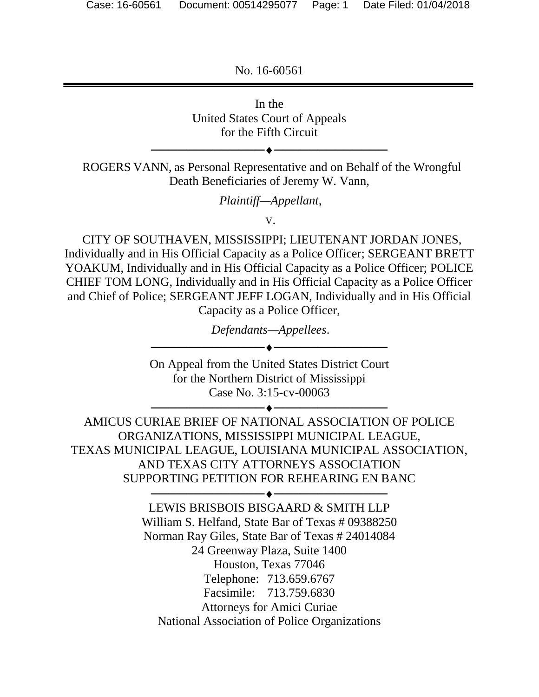No. 16-60561



Facsimile: 713.759.6830

Attorneys for Amici Curiae

National Association of Police Organizations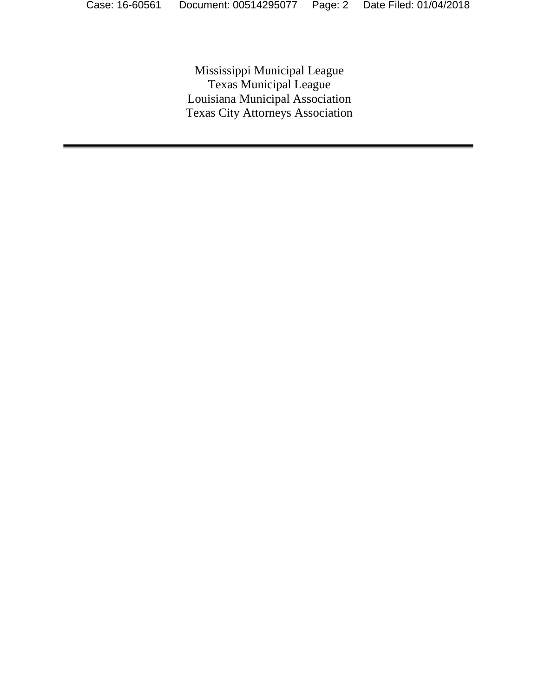Mississippi Municipal League Texas Municipal League Louisiana Municipal Association Texas City Attorneys Association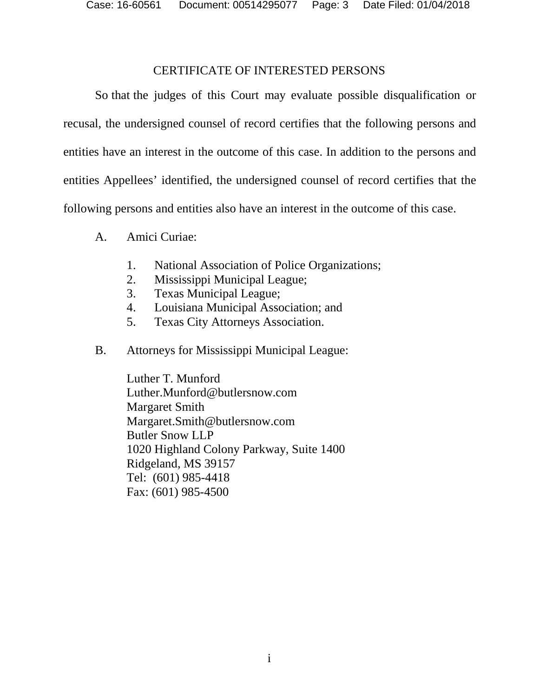Case: 16-60561 Document: 00514295077 Page: 3 Date Filed: 01/04/2018

#### CERTIFICATE OF INTERESTED PERSONS

So that the judges of this Court may evaluate possible disqualification or recusal, the undersigned counsel of record certifies that the following persons and entities have an interest in the outcome of this case. In addition to the persons and entities Appellees' identified, the undersigned counsel of record certifies that the following persons and entities also have an interest in the outcome of this case.

- A. Amici Curiae:
	- 1. National Association of Police Organizations;
	- 2. Mississippi Municipal League;
	- 3. Texas Municipal League;
	- 4. Louisiana Municipal Association; and
	- 5. Texas City Attorneys Association.
- B. Attorneys for Mississippi Municipal League:

Luther T. Munford Luther.Munford@butlersnow.com Margaret Smith Margaret.Smith@butlersnow.com Butler Snow LLP 1020 Highland Colony Parkway, Suite 1400 Ridgeland, MS 39157 Tel: (601) 985-4418 Fax: (601) 985-4500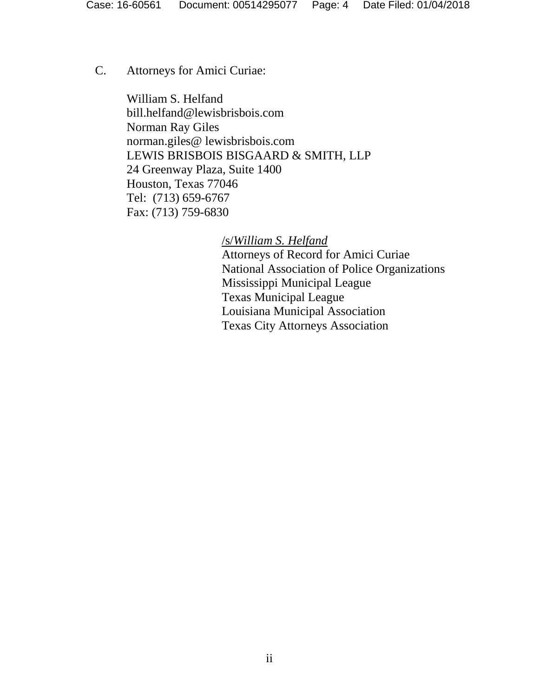C. Attorneys for Amici Curiae:

 William S. Helfand bill.helfand@lewisbrisbois.com Norman Ray Giles norman.giles@ lewisbrisbois.com LEWIS BRISBOIS BISGAARD & SMITH, LLP 24 Greenway Plaza, Suite 1400 Houston, Texas 77046 Tel: (713) 659-6767 Fax: (713) 759-6830

> /s/*William S. Helfand*  Attorneys of Record for Amici Curiae

National Association of Police Organizations Mississippi Municipal League Texas Municipal League Louisiana Municipal Association Texas City Attorneys Association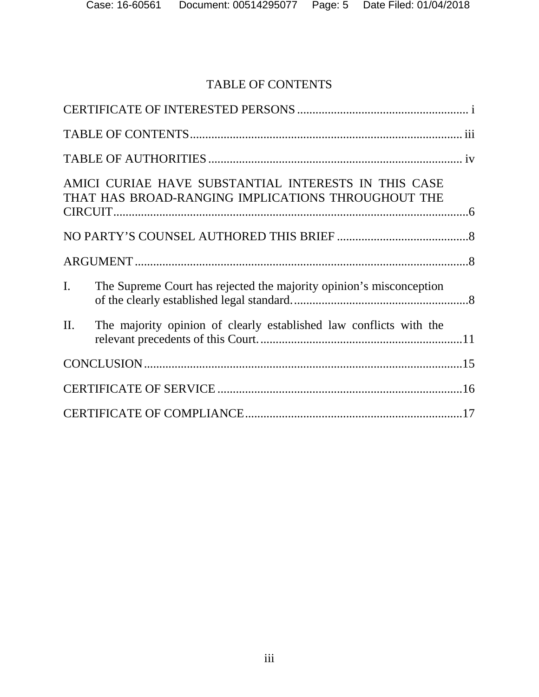## TABLE OF CONTENTS

| AMICI CURIAE HAVE SUBSTANTIAL INTERESTS IN THIS CASE<br>THAT HAS BROAD-RANGING IMPLICATIONS THROUGHOUT THE |                                                                     |  |  |
|------------------------------------------------------------------------------------------------------------|---------------------------------------------------------------------|--|--|
|                                                                                                            |                                                                     |  |  |
|                                                                                                            |                                                                     |  |  |
| I.                                                                                                         | The Supreme Court has rejected the majority opinion's misconception |  |  |
| II.                                                                                                        | The majority opinion of clearly established law conflicts with the  |  |  |
|                                                                                                            |                                                                     |  |  |
|                                                                                                            |                                                                     |  |  |
|                                                                                                            |                                                                     |  |  |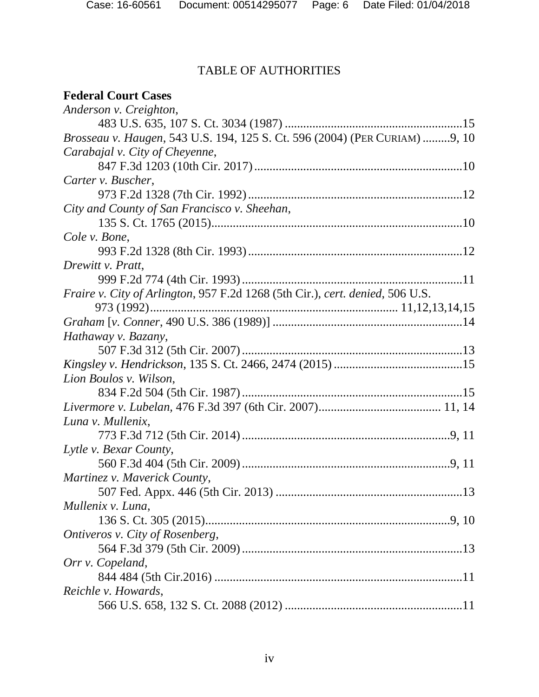# TABLE OF AUTHORITIES

## **Federal Court Cases**

| Anderson v. Creighton,                                                        |
|-------------------------------------------------------------------------------|
|                                                                               |
| Brosseau v. Haugen, 543 U.S. 194, 125 S. Ct. 596 (2004) (PER CURIAM) 9, 10    |
| Carabajal v. City of Cheyenne,                                                |
|                                                                               |
| Carter v. Buscher,                                                            |
|                                                                               |
| City and County of San Francisco v. Sheehan,                                  |
|                                                                               |
| Cole v. Bone,                                                                 |
|                                                                               |
| Drewitt v. Pratt,                                                             |
|                                                                               |
| Fraire v. City of Arlington, 957 F.2d 1268 (5th Cir.), cert. denied, 506 U.S. |
|                                                                               |
|                                                                               |
| Hathaway v. Bazany,                                                           |
|                                                                               |
|                                                                               |
| Lion Boulos v. Wilson,                                                        |
|                                                                               |
|                                                                               |
| Luna v. Mullenix,                                                             |
|                                                                               |
| Lytle v. Bexar County,                                                        |
|                                                                               |
| Martinez v. Maverick County,                                                  |
|                                                                               |
| Mullenix v. Luna,                                                             |
|                                                                               |
| Ontiveros v. City of Rosenberg,                                               |
|                                                                               |
| Orr v. Copeland,                                                              |
|                                                                               |
| Reichle v. Howards,                                                           |
|                                                                               |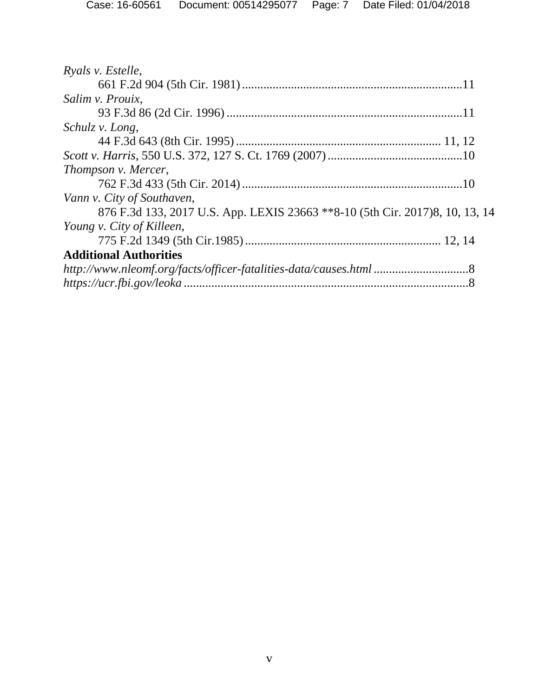| Ryals v. Estelle,                                                            |
|------------------------------------------------------------------------------|
|                                                                              |
| Salim v. Prouix,                                                             |
|                                                                              |
| Schulz v. Long,                                                              |
|                                                                              |
|                                                                              |
| Thompson v. Mercer,                                                          |
|                                                                              |
| Vann v. City of Southaven,                                                   |
| 876 F.3d 133, 2017 U.S. App. LEXIS 23663 **8-10 (5th Cir. 2017)8, 10, 13, 14 |
| Young v. City of Killeen,                                                    |
|                                                                              |
| <b>Additional Authorities</b>                                                |
| http://www.nleomf.org/facts/officer-fatalities-data/causes.html 8            |
|                                                                              |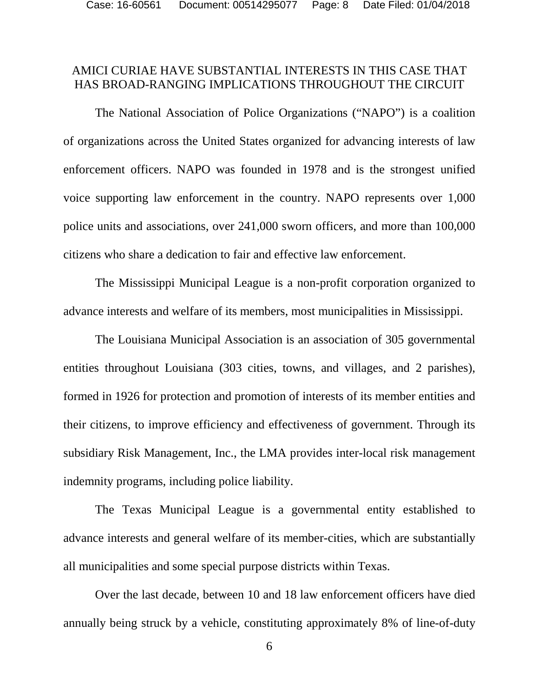## AMICI CURIAE HAVE SUBSTANTIAL INTERESTS IN THIS CASE THAT HAS BROAD-RANGING IMPLICATIONS THROUGHOUT THE CIRCUIT

The National Association of Police Organizations ("NAPO") is a coalition of organizations across the United States organized for advancing interests of law enforcement officers. NAPO was founded in 1978 and is the strongest unified voice supporting law enforcement in the country. NAPO represents over 1,000 police units and associations, over 241,000 sworn officers, and more than 100,000 citizens who share a dedication to fair and effective law enforcement.

The Mississippi Municipal League is a non-profit corporation organized to advance interests and welfare of its members, most municipalities in Mississippi.

The Louisiana Municipal Association is an association of 305 governmental entities throughout Louisiana (303 cities, towns, and villages, and 2 parishes), formed in 1926 for protection and promotion of interests of its member entities and their citizens, to improve efficiency and effectiveness of government. Through its subsidiary Risk Management, Inc., the LMA provides inter-local risk management indemnity programs, including police liability.

The Texas Municipal League is a governmental entity established to advance interests and general welfare of its member-cities, which are substantially all municipalities and some special purpose districts within Texas.

Over the last decade, between 10 and 18 law enforcement officers have died annually being struck by a vehicle, constituting approximately 8% of line-of-duty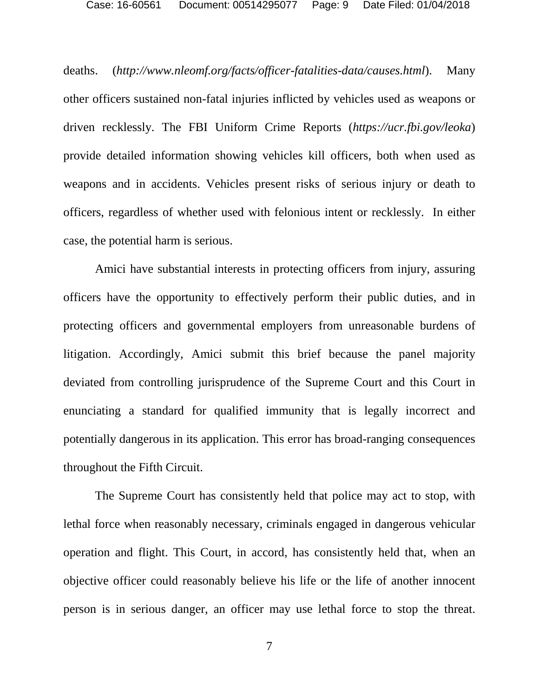deaths. (*http://www.nleomf.org/facts/officer-fatalities-data/causes.html*). Many other officers sustained non-fatal injuries inflicted by vehicles used as weapons or driven recklessly. The FBI Uniform Crime Reports (*https://ucr.fbi.gov/leoka*) provide detailed information showing vehicles kill officers, both when used as weapons and in accidents. Vehicles present risks of serious injury or death to officers, regardless of whether used with felonious intent or recklessly. In either case, the potential harm is serious.

Amici have substantial interests in protecting officers from injury, assuring officers have the opportunity to effectively perform their public duties, and in protecting officers and governmental employers from unreasonable burdens of litigation. Accordingly, Amici submit this brief because the panel majority deviated from controlling jurisprudence of the Supreme Court and this Court in enunciating a standard for qualified immunity that is legally incorrect and potentially dangerous in its application. This error has broad-ranging consequences throughout the Fifth Circuit.

The Supreme Court has consistently held that police may act to stop, with lethal force when reasonably necessary, criminals engaged in dangerous vehicular operation and flight. This Court, in accord, has consistently held that, when an objective officer could reasonably believe his life or the life of another innocent person is in serious danger, an officer may use lethal force to stop the threat.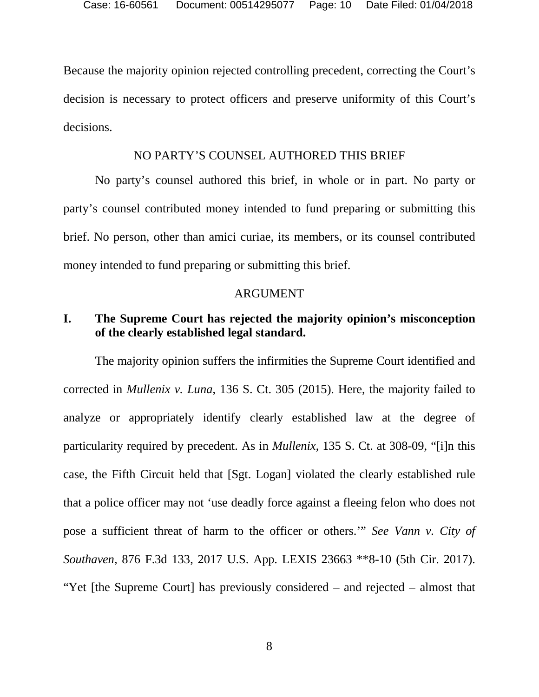Because the majority opinion rejected controlling precedent, correcting the Court's decision is necessary to protect officers and preserve uniformity of this Court's decisions.

#### NO PARTY'S COUNSEL AUTHORED THIS BRIEF

No party's counsel authored this brief, in whole or in part. No party or party's counsel contributed money intended to fund preparing or submitting this brief. No person, other than amici curiae, its members, or its counsel contributed money intended to fund preparing or submitting this brief.

#### ARGUMENT

## **I. The Supreme Court has rejected the majority opinion's misconception of the clearly established legal standard.**

The majority opinion suffers the infirmities the Supreme Court identified and corrected in *Mullenix v. Luna*, 136 S. Ct. 305 (2015). Here, the majority failed to analyze or appropriately identify clearly established law at the degree of particularity required by precedent. As in *Mullenix*, 135 S. Ct. at 308-09, "[i]n this case, the Fifth Circuit held that [Sgt. Logan] violated the clearly established rule that a police officer may not 'use deadly force against a fleeing felon who does not pose a sufficient threat of harm to the officer or others.'" *See Vann v. City of Southaven*, 876 F.3d 133, 2017 U.S. App. LEXIS 23663 \*\*8-10 (5th Cir. 2017). "Yet [the Supreme Court] has previously considered – and rejected – almost that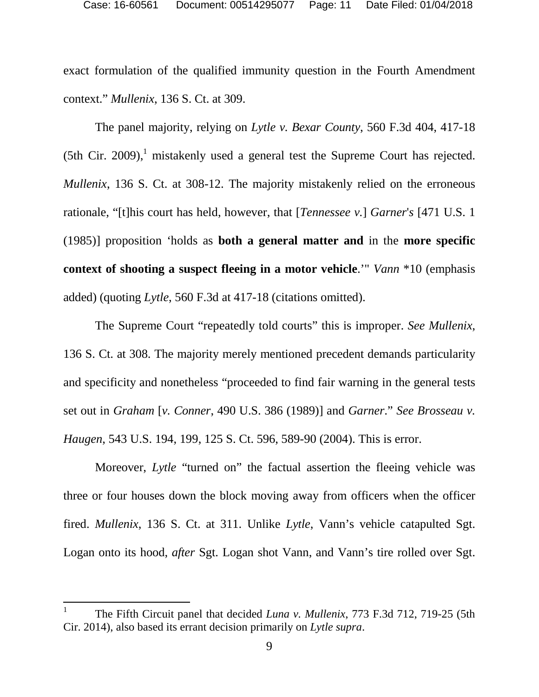exact formulation of the qualified immunity question in the Fourth Amendment context." *Mullenix*, 136 S. Ct. at 309.

The panel majority, relying on *Lytle v. Bexar County*, 560 F.3d 404, 417-18 (5th Cir. 2009),<sup>1</sup> mistakenly used a general test the Supreme Court has rejected. *Mullenix*, 136 S. Ct. at 308-12. The majority mistakenly relied on the erroneous rationale, "[t]his court has held, however, that [*Tennessee v.*] *Garner*'*s* [471 U.S. 1 (1985)] proposition 'holds as **both a general matter and** in the **more specific context of shooting a suspect fleeing in a motor vehicle**.'" *Vann* \*10 (emphasis added) (quoting *Lytle*, 560 F.3d at 417-18 (citations omitted).

The Supreme Court "repeatedly told courts" this is improper. *See Mullenix*, 136 S. Ct. at 308. The majority merely mentioned precedent demands particularity and specificity and nonetheless "proceeded to find fair warning in the general tests set out in *Graham* [*v. Conner*, 490 U.S. 386 (1989)] and *Garner*." *See Brosseau v. Haugen*, 543 U.S. 194, 199, 125 S. Ct. 596, 589-90 (2004). This is error.

Moreover, *Lytle* "turned on" the factual assertion the fleeing vehicle was three or four houses down the block moving away from officers when the officer fired. *Mullenix*, 136 S. Ct. at 311. Unlike *Lytle*, Vann's vehicle catapulted Sgt. Logan onto its hood, *after* Sgt. Logan shot Vann, and Vann's tire rolled over Sgt.

<sup>1</sup> The Fifth Circuit panel that decided *Luna v. Mullenix*, 773 F.3d 712, 719-25 (5th Cir. 2014), also based its errant decision primarily on *Lytle supra*.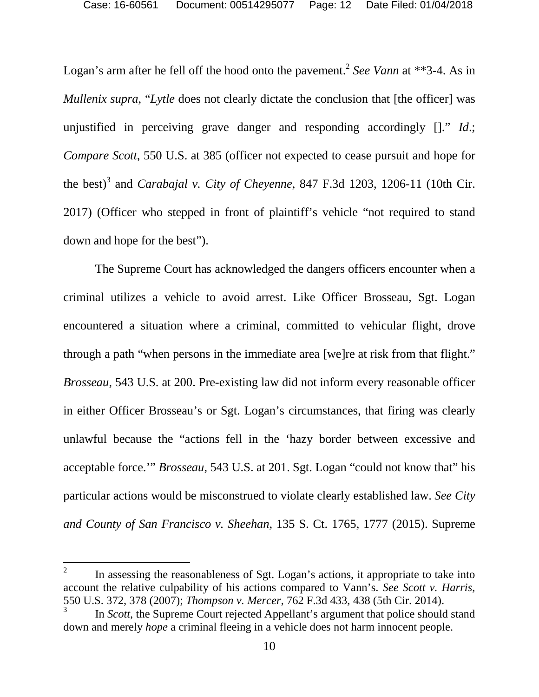Logan's arm after he fell off the hood onto the pavement.<sup>2</sup> See Vann at \*\*3-4. As in *Mullenix supra, "Lytle* does not clearly dictate the conclusion that [the officer] was unjustified in perceiving grave danger and responding accordingly []." *Id*.; *Compare Scott*, 550 U.S. at 385 (officer not expected to cease pursuit and hope for the best)<sup>3</sup> and *Carabajal v. City of Cheyenne*, 847 F.3d 1203, 1206-11 (10th Cir. 2017) (Officer who stepped in front of plaintiff's vehicle "not required to stand down and hope for the best").

The Supreme Court has acknowledged the dangers officers encounter when a criminal utilizes a vehicle to avoid arrest. Like Officer Brosseau, Sgt. Logan encountered a situation where a criminal, committed to vehicular flight, drove through a path "when persons in the immediate area [we]re at risk from that flight." *Brosseau*, 543 U.S. at 200. Pre-existing law did not inform every reasonable officer in either Officer Brosseau's or Sgt. Logan's circumstances, that firing was clearly unlawful because the "actions fell in the 'hazy border between excessive and acceptable force.'" *Brosseau*, 543 U.S. at 201. Sgt. Logan "could not know that" his particular actions would be misconstrued to violate clearly established law. *See City and County of San Francisco v. Sheehan*, 135 S. Ct. 1765, 1777 (2015). Supreme

<sup>2</sup> In assessing the reasonableness of Sgt. Logan's actions, it appropriate to take into account the relative culpability of his actions compared to Vann's. *See Scott v. Harris*, 550 U.S. 372, 378 (2007); *Thompson v. Mercer*, 762 F.3d 433, 438 (5th Cir. 2014).

<sup>3</sup> In *Scott*, the Supreme Court rejected Appellant's argument that police should stand down and merely *hope* a criminal fleeing in a vehicle does not harm innocent people.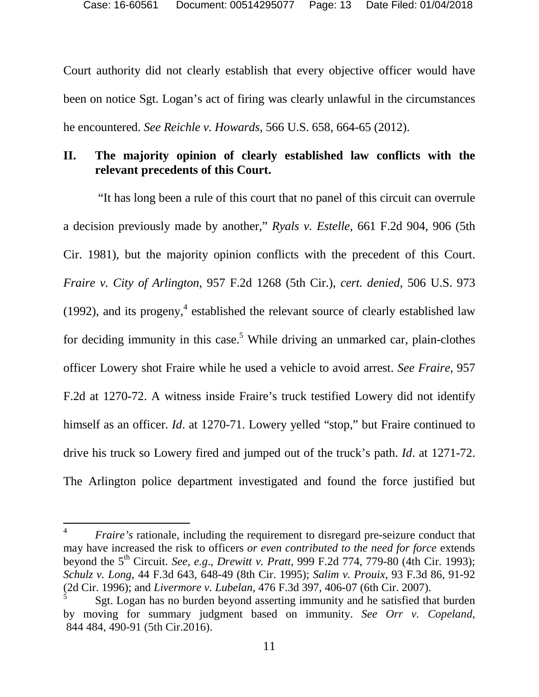Court authority did not clearly establish that every objective officer would have been on notice Sgt. Logan's act of firing was clearly unlawful in the circumstances he encountered. *See Reichle v. Howards*, 566 U.S. 658, 664-65 (2012).

## **II. The majority opinion of clearly established law conflicts with the relevant precedents of this Court.**

 "It has long been a rule of this court that no panel of this circuit can overrule a decision previously made by another," *Ryals v. Estelle*, 661 F.2d 904, 906 (5th Cir. 1981), but the majority opinion conflicts with the precedent of this Court. *Fraire v. City of Arlington*, 957 F.2d 1268 (5th Cir.), *cert. denied*, 506 U.S. 973 (1992), and its progeny, $4$  established the relevant source of clearly established law for deciding immunity in this case.<sup>5</sup> While driving an unmarked car, plain-clothes officer Lowery shot Fraire while he used a vehicle to avoid arrest. *See Fraire*, 957 F.2d at 1270-72. A witness inside Fraire's truck testified Lowery did not identify himself as an officer. *Id.* at 1270-71. Lowery yelled "stop," but Fraire continued to drive his truck so Lowery fired and jumped out of the truck's path. *Id*. at 1271-72. The Arlington police department investigated and found the force justified but

<sup>4</sup> *Fraire's* rationale, including the requirement to disregard pre-seizure conduct that may have increased the risk to officers *or even contributed to the need for force* extends beyond the 5th Circuit. *See, e.g*., *Drewitt v. Pratt*, 999 F.2d 774, 779-80 (4th Cir. 1993); *Schulz v. Long*, 44 F.3d 643, 648-49 (8th Cir. 1995); *Salim v. Prouix*, 93 F.3d 86, 91-92 (2d Cir. 1996); and *Livermore v. Lubelan*, 476 F.3d 397, 406-07 (6th Cir. 2007).

<sup>5</sup> Sgt. Logan has no burden beyond asserting immunity and he satisfied that burden by moving for summary judgment based on immunity. *See Orr v. Copeland,*  844 484, 490-91 (5th Cir.2016).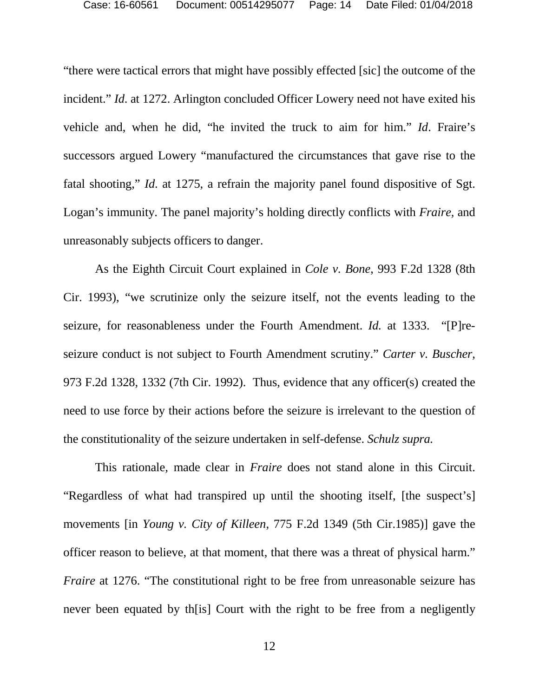"there were tactical errors that might have possibly effected [sic] the outcome of the incident." *Id*. at 1272. Arlington concluded Officer Lowery need not have exited his vehicle and, when he did, "he invited the truck to aim for him." *Id*. Fraire's successors argued Lowery "manufactured the circumstances that gave rise to the fatal shooting," *Id*. at 1275, a refrain the majority panel found dispositive of Sgt. Logan's immunity. The panel majority's holding directly conflicts with *Fraire,* and unreasonably subjects officers to danger.

As the Eighth Circuit Court explained in *Cole v. Bone*, 993 F.2d 1328 (8th Cir. 1993), "we scrutinize only the seizure itself, not the events leading to the seizure, for reasonableness under the Fourth Amendment. *Id.* at 1333. "[P]reseizure conduct is not subject to Fourth Amendment scrutiny." *Carter v. Buscher,*  973 F.2d 1328, 1332 (7th Cir. 1992). Thus, evidence that any officer(s) created the need to use force by their actions before the seizure is irrelevant to the question of the constitutionality of the seizure undertaken in self-defense. *Schulz supra.*

This rationale*,* made clear in *Fraire* does not stand alone in this Circuit. "Regardless of what had transpired up until the shooting itself, [the suspect's] movements [in *Young v. City of Killeen*, 775 F.2d 1349 (5th Cir.1985)] gave the officer reason to believe, at that moment, that there was a threat of physical harm." *Fraire* at 1276. "The constitutional right to be free from unreasonable seizure has never been equated by th[is] Court with the right to be free from a negligently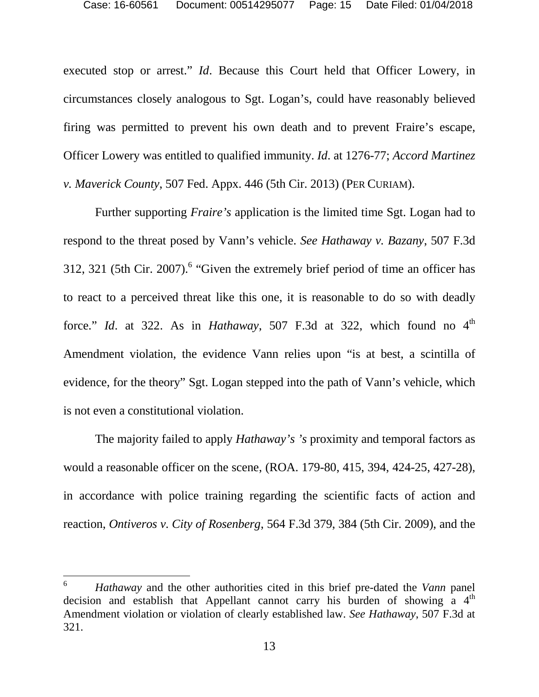executed stop or arrest." *Id*. Because this Court held that Officer Lowery, in circumstances closely analogous to Sgt. Logan's, could have reasonably believed firing was permitted to prevent his own death and to prevent Fraire's escape, Officer Lowery was entitled to qualified immunity. *Id*. at 1276-77; *Accord Martinez v. Maverick County*, 507 Fed. Appx. 446 (5th Cir. 2013) (PER CURIAM).

Further supporting *Fraire's* application is the limited time Sgt. Logan had to respond to the threat posed by Vann's vehicle. *See Hathaway v. Bazany*, 507 F.3d 312, 321 (5th Cir. 2007). $6$  "Given the extremely brief period of time an officer has to react to a perceived threat like this one, it is reasonable to do so with deadly force." *Id.* at 322. As in *Hathaway*, 507 F.3d at 322, which found no  $4<sup>th</sup>$ Amendment violation, the evidence Vann relies upon "is at best, a scintilla of evidence, for the theory" Sgt. Logan stepped into the path of Vann's vehicle, which is not even a constitutional violation.

The majority failed to apply *Hathaway's 's* proximity and temporal factors as would a reasonable officer on the scene, (ROA. 179-80, 415, 394, 424-25, 427-28), in accordance with police training regarding the scientific facts of action and reaction, *Ontiveros v. City of Rosenberg*, 564 F.3d 379, 384 (5th Cir. 2009), and the

<sup>6</sup> *Hathaway* and the other authorities cited in this brief pre-dated the *Vann* panel decision and establish that Appellant cannot carry his burden of showing a  $4<sup>th</sup>$ Amendment violation or violation of clearly established law. *See Hathaway*, 507 F.3d at 321.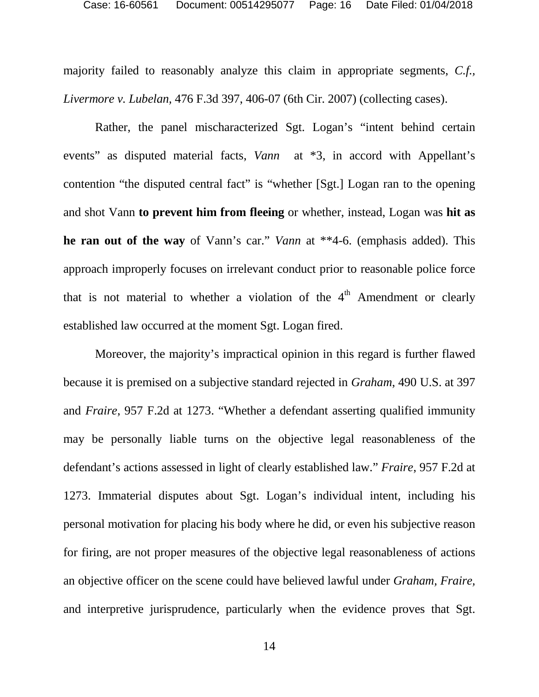majority failed to reasonably analyze this claim in appropriate segments, *C.f., Livermore v. Lubelan,* 476 F.3d 397, 406-07 (6th Cir. 2007) (collecting cases).

Rather, the panel mischaracterized Sgt. Logan's "intent behind certain events" as disputed material facts, *Vann* at  $*3$ , in accord with Appellant's contention "the disputed central fact" is "whether [Sgt.] Logan ran to the opening and shot Vann **to prevent him from fleeing** or whether, instead, Logan was **hit as he ran out of the way** of Vann's car." *Vann* at \*\*4-6. (emphasis added). This approach improperly focuses on irrelevant conduct prior to reasonable police force that is not material to whether a violation of the  $4<sup>th</sup>$  Amendment or clearly established law occurred at the moment Sgt. Logan fired.

Moreover, the majority's impractical opinion in this regard is further flawed because it is premised on a subjective standard rejected in *Graham*, 490 U.S. at 397 and *Fraire*, 957 F.2d at 1273. "Whether a defendant asserting qualified immunity may be personally liable turns on the objective legal reasonableness of the defendant's actions assessed in light of clearly established law." *Fraire*, 957 F.2d at 1273. Immaterial disputes about Sgt. Logan's individual intent, including his personal motivation for placing his body where he did, or even his subjective reason for firing, are not proper measures of the objective legal reasonableness of actions an objective officer on the scene could have believed lawful under *Graham, Fraire,*  and interpretive jurisprudence, particularly when the evidence proves that Sgt.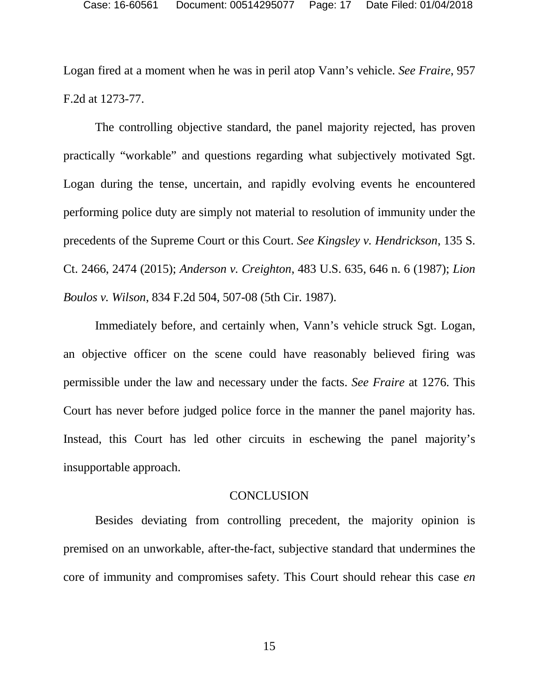Logan fired at a moment when he was in peril atop Vann's vehicle. *See Fraire*, 957 F.2d at 1273-77.

The controlling objective standard, the panel majority rejected, has proven practically "workable" and questions regarding what subjectively motivated Sgt. Logan during the tense, uncertain, and rapidly evolving events he encountered performing police duty are simply not material to resolution of immunity under the precedents of the Supreme Court or this Court. *See Kingsley v. Hendrickson*, 135 S. Ct. 2466, 2474 (2015); *Anderson v. Creighton*, 483 U.S. 635, 646 n. 6 (1987); *Lion Boulos v. Wilson*, 834 F.2d 504, 507-08 (5th Cir. 1987).

Immediately before, and certainly when, Vann's vehicle struck Sgt. Logan, an objective officer on the scene could have reasonably believed firing was permissible under the law and necessary under the facts. *See Fraire* at 1276. This Court has never before judged police force in the manner the panel majority has. Instead, this Court has led other circuits in eschewing the panel majority's insupportable approach.

#### **CONCLUSION**

Besides deviating from controlling precedent, the majority opinion is premised on an unworkable, after-the-fact, subjective standard that undermines the core of immunity and compromises safety. This Court should rehear this case *en*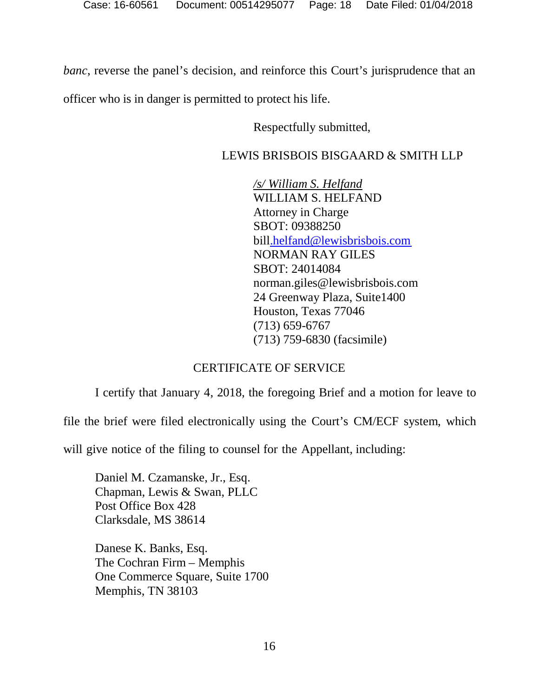*banc*, reverse the panel's decision, and reinforce this Court's jurisprudence that an

officer who is in danger is permitted to protect his life.

Respectfully submitted,

## LEWIS BRISBOIS BISGAARD & SMITH LLP

*/s/ William S. Helfand* WILLIAM S. HELFAND Attorney in Charge SBOT: 09388250 bill.helfand@lewisbrisbois.com NORMAN RAY GILES SBOT: 24014084 norman.giles@lewisbrisbois.com 24 Greenway Plaza, Suite1400 Houston, Texas 77046 (713) 659-6767 (713) 759-6830 (facsimile)

### CERTIFICATE OF SERVICE

I certify that January 4, 2018, the foregoing Brief and a motion for leave to

file the brief were filed electronically using the Court's CM/ECF system, which

will give notice of the filing to counsel for the Appellant, including:

Daniel M. Czamanske, Jr., Esq. Chapman, Lewis & Swan, PLLC Post Office Box 428 Clarksdale, MS 38614

Danese K. Banks, Esq. The Cochran Firm – Memphis One Commerce Square, Suite 1700 Memphis, TN 38103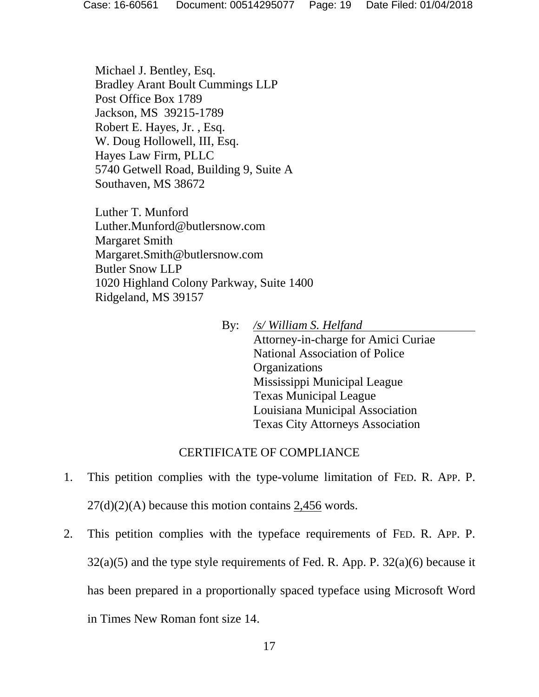Michael J. Bentley, Esq. Bradley Arant Boult Cummings LLP Post Office Box 1789 Jackson, MS 39215-1789 Robert E. Hayes, Jr. , Esq. W. Doug Hollowell, III, Esq. Hayes Law Firm, PLLC 5740 Getwell Road, Building 9, Suite A Southaven, MS 38672

Luther T. Munford Luther.Munford@butlersnow.com Margaret Smith Margaret.Smith@butlersnow.com Butler Snow LLP 1020 Highland Colony Parkway, Suite 1400 Ridgeland, MS 39157

> By: */s/ William S. Helfand* Attorney-in-charge for Amici Curiae National Association of Police **Organizations** Mississippi Municipal League Texas Municipal League Louisiana Municipal Association Texas City Attorneys Association

### CERTIFICATE OF COMPLIANCE

- 1. This petition complies with the type-volume limitation of FED. R. APP. P.  $27(d)(2)(A)$  because this motion contains 2,456 words.
- 2. This petition complies with the typeface requirements of FED. R. APP. P.  $32(a)(5)$  and the type style requirements of Fed. R. App. P.  $32(a)(6)$  because it has been prepared in a proportionally spaced typeface using Microsoft Word in Times New Roman font size 14.